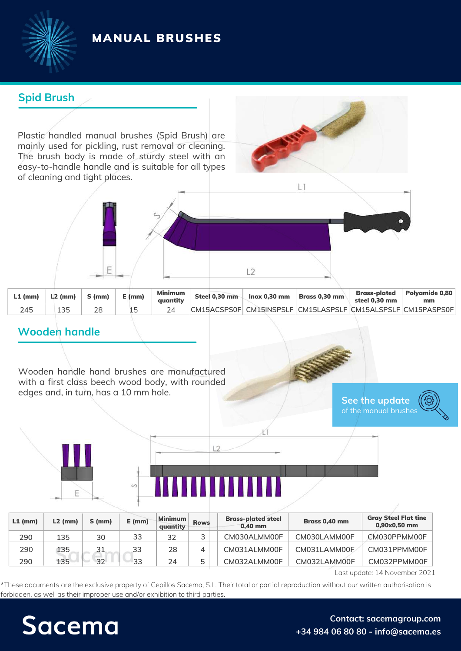# MANUAL BRUSHES



## **Spid Brush**

Plastic handled manual brushes (Spid Brush) are mainly used for pickling, rust removal or cleaning. The brush body is made of sturdy steel with an easy-to-handle handle and is suitable for all types of cleaning and tight places.





 $12$ 

### **Wooden handle**

Wooden handle hand brushes are manufactured with a first class beech wood body, with rounded edges and, in turn, has a 10 mm hole.

**See the [update](https://sacemagroup.com/en/producto/industrial-brushes/manual-brushes/?utm_campaign=ficha_tecnica&utm_medium=referral&utm_source=pdf_propio&utm_content=cepillos_manuales&utm_term=en)** of the [manual](https://sacemagroup.com/en/producto/industrial-brushes/manual-brushes/?utm_campaign=ficha_tecnica&utm_medium=referral&utm_source=pdf_propio&utm_content=cepillos_manuales&utm_term=en) brush[es](https://sacemagroup.com/en/producto/industrial-brushes/manual-brushes/?utm_campaign=ficha_tecnica&utm_medium=referral&utm_source=pdf_propio&utm_content=cepillos_manuales&utm_term=en)



| <u>VA ARAHAMATAN INI K</u> |  |  |  |  |
|----------------------------|--|--|--|--|
|                            |  |  |  |  |

| $L1$ (mm) | $L2$ (mm) | $S$ (mm) | $E$ (mm) | Minimum<br>quantity | <b>Rows</b> | <b>Brass-plated steel</b><br>$0,40$ mm | Brass 0,40 mm | <b>Gray Steel Flat tine</b><br>$0,90x0,50$ mm |
|-----------|-----------|----------|----------|---------------------|-------------|----------------------------------------|---------------|-----------------------------------------------|
| 290       | 135       | 30       | 33       | 32                  | っ           | CM030ALMM00F                           | CM030LAMM00F  | CM030PPMM00F                                  |
| 290       | 135       | 31       | 33       | 28                  | 4           | CM031ALMM00F                           | CM031LAMM00F  | CM031PPMM00F                                  |
| 290       | 135       | 32       | 33       | 24                  | 5           | CM032ALMM00F                           | CM032LAMM00F  | CM032PPMM00F                                  |

Last update: 14 November 2021

\*These documents are the exclusive property of Cepillos Sacema, S.L. Their total or partial reproduction without our written authorisation is forbidden, as well as their improper use and/or exhibition to third parties.

# Sacema

#### **Contact: [sacemagroup.com](https://sacemagroup.com/en/contact/?utm_campaign=ficha_tecnica&utm_medium=referral&utm_source=pdf_propio&utm_content=contacto&utm_term=en) +34 984 06 80 80 - info@sacema.es**